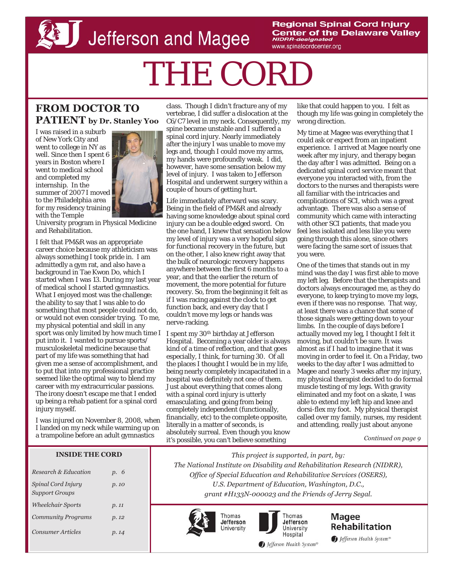**J** Jefferson and Magee

**Regional Spinal Cord Injury Center of the Delaware Valley NIDRR-designated** www.spinalcordcenter.org

# THE CORD

### **FROM DOCTOR TO PATIENT by Dr. Stanley Yoo**

I was raised in a suburb of New York City and went to college in NY as well. Since then I spent 6 years in Boston where I went to medical school and completed my internship. In the summer of 2007 I moved to the Philadelphia area for my residency training with the Temple



University program in Physical Medicine and Rehabilitation.

I felt that PM&R was an appropriate career choice because my athleticism was always something I took pride in. I am admittedly a gym rat, and also have a background in Tae Kwon Do, which I started when I was 13. During my last year of medical school I started gymnastics. What I enjoyed most was the challenge: the ability to say that I was able to do something that most people could not do, or would not even consider trying. To me, my physical potential and skill in any sport was only limited by how much time I put into it. I wanted to pursue sports/ musculoskeletal medicine because that part of my life was something that had given me a sense of accomplishment, and to put that into my professional practice seemed like the optimal way to blend my career with my extracurricular passions. The irony doesn't escape me that I ended up being a rehab patient for a spinal cord injury myself.

I was injured on November 8, 2008, when I landed on my neck while warming up on a trampoline before an adult gymnastics

class. Though I didn't fracture any of my vertebrae, I did suffer a dislocation at the C6/C7 level in my neck. Consequently, my spine became unstable and I suffered a spinal cord injury. Nearly immediately after the injury I was unable to move my legs and, though I could move my arms, my hands were profoundly weak. I did, however, have some sensation below my level of injury. I was taken to Jefferson Hospital and underwent surgery within a couple of hours of getting hurt.

Life immediately afterward was scary. Being in the field of PM&R and already having some knowledge about spinal cord injury can be a double edged sword. On the one hand, I knew that sensation below my level of injury was a very hopeful sign for functional recovery in the future, but on the other, I also knew right away that the bulk of neurologic recovery happens anywhere between the first 6 months to a year, and that the earlier the return of movement, the more potential for future recovery. So, from the beginning it felt as if I was racing against the clock to get function back, and every day that I couldn't move my legs or hands was nerve-racking.

I spent my 30th birthday at Jefferson Hospital. Becoming a year older is always kind of a time of reflection, and that goes especially, I think, for turning 30. Of all the places I thought I would be in my life, being nearly completely incapacitated in a hospital was definitely not one of them. Just about everything that comes along with a spinal cord injury is utterly emasculating, and going from being completely independent (functionally, financially, etc) to the complete opposite, literally in a matter of seconds, is absolutely surreal. Even though you know it's possible, you can't believe something

like that could happen to you. I felt as though my life was going in completely the wrong direction.

My time at Magee was everything that I could ask or expect from an inpatient experience. I arrived at Magee nearly one week after my injury, and therapy began the day after I was admitted. Being on a dedicated spinal cord service meant that everyone you interacted with, from the doctors to the nurses and therapists were all familiar with the intricacies and complications of SCI, which was a great advantage. There was also a sense of community which came with interacting with other SCI patients, that made you feel less isolated and less like you were going through this alone, since others were facing the same sort of issues that you were.

One of the times that stands out in my mind was the day I was first able to move my left leg. Before that the therapists and doctors always encouraged me, as they do everyone, to keep trying to move my legs, even if there was no response. That way, at least there was a chance that some of those signals were getting down to your limbs. In the couple of days before I actually moved my leg, I thought I felt it moving, but couldn't be sure. It was almost as if I had to imagine that it was moving in order to feel it. On a Friday, two weeks to the day after I was admitted to Magee and nearly 3 weeks after my injury, my physical therapist decided to do formal muscle testing of my legs. With gravity eliminated and my foot on a skate, I was able to extend my left hip and knee and dorsi-flex my foot. My physical therapist called over my family, nurses, my resident and attending, really just about anyone

*Continued on page 9* 

| Research & Education                        | p. 6  |
|---------------------------------------------|-------|
| Spinal Cord Injury<br><b>Support Groups</b> | p. 10 |
| Wheelchair Sports                           | p.11  |
| <b>Community Programs</b>                   | p. 12 |
| <b>Consumer Articles</b>                    | p. 14 |

*This project is supported, in part, by: The National Institute on Disability and Rehabilitation Research (NIDRR), Office of Special Education and Rehabilitative Services (OSERS), U.S. Department of Education, Washington, D.C., grant #H133N-000023 and the Friends of Jerry Segal.* 





Jefferson University Hospital

Magee **Rehabilitation** Jefferson Health System®

Jefferson Health System®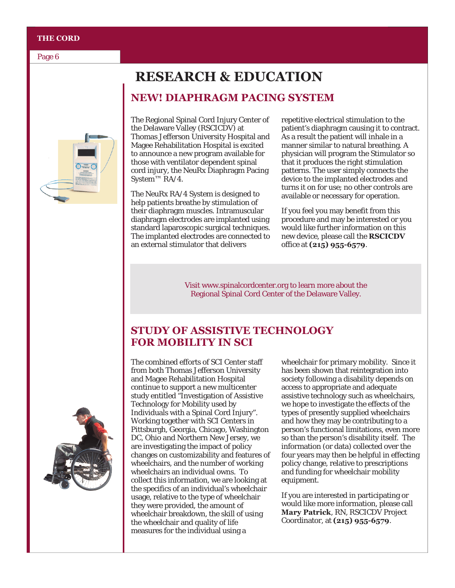### **THE CORD**

Page 6

### **RESEARCH & EDUCATION**

### **NEW! DIAPHRAGM PACING SYSTEM**

The Regional Spinal Cord Injury Center of the Delaware Valley (RSCICDV) at Thomas Jefferson University Hospital and Magee Rehabilitation Hospital is excited to announce a new program available for those with ventilator dependent spinal cord injury, the NeuRx Diaphragm Pacing System™ RA/4.

The NeuRx RA/4 System is designed to help patients breathe by stimulation of their diaphragm muscles. Intramuscular diaphragm electrodes are implanted using standard laparoscopic surgical techniques. The implanted electrodes are connected to an external stimulator that delivers

repetitive electrical stimulation to the patient's diaphragm causing it to contract. As a result the patient will inhale in a manner similar to natural breathing. A physician will program the Stimulator so that it produces the right stimulation patterns. The user simply connects the device to the implanted electrodes and turns it on for use; no other controls are available or necessary for operation.

If you feel you may benefit from this procedure and may be interested or you would like further information on this new device, please call the **RSCICDV** office at **(215) 955-6579**.

Visit www.spinalcordcenter.org to learn more about the Regional Spinal Cord Center of the Delaware Valley.

### **STUDY OF ASSISTIVE TECHNOLOGY FOR MOBILITY IN SCI**

The combined efforts of SCI Center staff from both Thomas Jefferson University and Magee Rehabilitation Hospital continue to support a new multicenter study entitled "Investigation of Assistive Technology for Mobility used by Individuals with a Spinal Cord Injury". Working together with SCI Centers in Pittsburgh, Georgia, Chicago, Washington DC, Ohio and Northern New Jersey, we are investigating the impact of policy changes on customizability and features of wheelchairs, and the number of working wheelchairs an individual owns. To collect this information, we are looking at the specifics of an individual's wheelchair usage, relative to the type of wheelchair they were provided, the amount of wheelchair breakdown, the skill of using the wheelchair and quality of life measures for the individual using a

wheelchair for primary mobility. Since it has been shown that reintegration into society following a disability depends on access to appropriate and adequate assistive technology such as wheelchairs, we hope to investigate the effects of the types of presently supplied wheelchairs and how they may be contributing to a person's functional limitations, even more so than the person's disability itself. The information (or data) collected over the four years may then be helpful in effecting policy change, relative to prescriptions and funding for wheelchair mobility equipment.

If you are interested in participating or would like more information, please call **Mary Patrick**, RN, RSCICDV Project Coordinator, at **(215) 955-6579**.

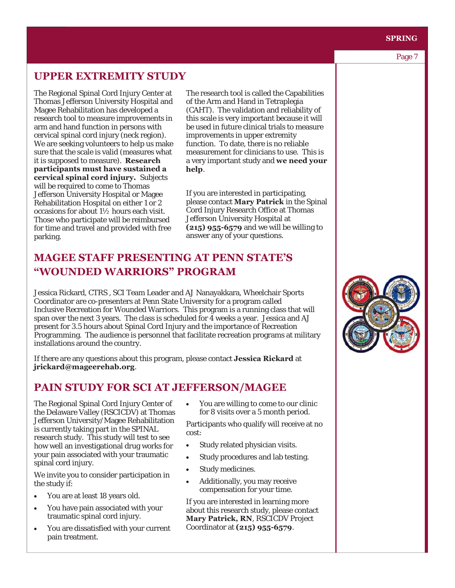### **SPRING**

### **UPPER EXTREMITY STUDY**

The Regional Spinal Cord Injury Center at Thomas Jefferson University Hospital and Magee Rehabilitation has developed a research tool to measure improvements in arm and hand function in persons with cervical spinal cord injury (neck region). We are seeking volunteers to help us make sure that the scale is valid (measures what it is supposed to measure). **Research participants must have sustained a cervical spinal cord injury.** Subjects will be required to come to Thomas Jefferson University Hospital or Magee Rehabilitation Hospital on either 1 or 2 occasions for about 1½ hours each visit. Those who participate will be reimbursed for time and travel and provided with free parking.

The research tool is called the Capabilities of the Arm and Hand in Tetraplegia (CAHT). The validation and reliability of this scale is very important because it will be used in future clinical trials to measure improvements in upper extremity function. To date, there is no reliable measurement for clinicians to use. This is a very important study and **we need your help**.

If you are interested in participating, please contact **Mary Patrick** in the Spinal Cord Injury Research Office at Thomas Jefferson University Hospital at **(215) 955-6579** and we will be willing to answer any of your questions.

### **MAGEE STAFF PRESENTING AT PENN STATE'S "WOUNDED WARRIORS" PROGRAM**

Jessica Rickard, CTRS , SCI Team Leader and AJ Nanayakkara, Wheelchair Sports Coordinator are co-presenters at Penn State University for a program called Inclusive Recreation for Wounded Warriors. This program is a running class that will span over the next 3 years. The class is scheduled for 4 weeks a year. Jessica and AJ present for 3.5 hours about Spinal Cord Injury and the importance of Recreation Programming. The audience is personnel that facilitate recreation programs at military installations around the country.

If there are any questions about this program, please contact **Jessica Rickard** at **jrickard@mageerehab.org**.

### **PAIN STUDY FOR SCI AT JEFFERSON/MAGEE**

The Regional Spinal Cord Injury Center of the Delaware Valley (RSCICDV) at Thomas Jefferson University/Magee Rehabilitation is currently taking part in the SPINAL research study. This study will test to see how well an investigational drug works for your pain associated with your traumatic spinal cord injury.

We invite you to consider participation in the study if:

- You are at least 18 years old.
- You have pain associated with your traumatic spinal cord injury.
- You are dissatisfied with your current pain treatment.

• You are willing to come to our clinic for 8 visits over a 5 month period.

Participants who qualify will receive at no cost:

- Study related physician visits.
- Study procedures and lab testing.
- Study medicines.
- Additionally, you may receive compensation for your time.

If you are interested in learning more about this research study, please contact **Mary Patrick, RN**, RSCICDV Project Coordinator at **(215) 955-6579**.



Page 7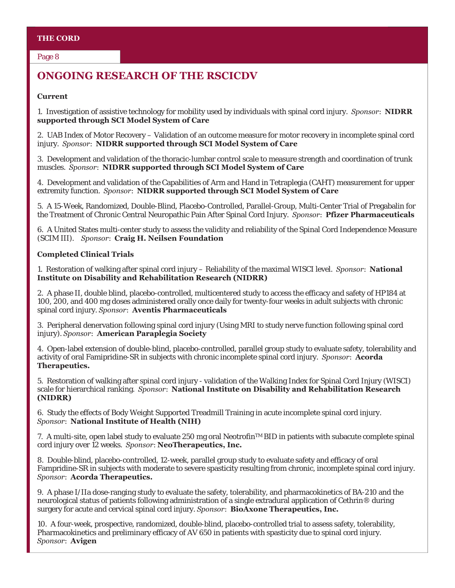### Page 8

### **ONGOING RESEARCH OF THE RSCICDV**

### **Current**

1. Investigation of assistive technology for mobility used by individuals with spinal cord injury. *Sponsor*:**NIDRR supported through SCI Model System of Care**

2. UAB Index of Motor Recovery – Validation of an outcome measure for motor recovery in incomplete spinal cord injury. *Sponsor*:**NIDRR supported through SCI Model System of Care** 

3. Development and validation of the thoracic-lumbar control scale to measure strength and coordination of trunk muscles. *Sponsor*:**NIDRR supported through SCI Model System of Care** 

4. Development and validation of the Capabilities of Arm and Hand in Tetraplegia (CAHT) measurement for upper extremity function. *Sponsor*:**NIDRR supported through SCI Model System of Care** 

5. A 15-Week, Randomized, Double-Blind, Placebo-Controlled, Parallel-Group, Multi-Center Trial of Pregabalin for the Treatment of Chronic Central Neuropathic Pain After Spinal Cord Injury. *Sponsor*:**Pfizer Pharmaceuticals**

6. A United States multi-center study to assess the validity and reliability of the Spinal Cord Independence Measure (SCIM III). *Sponsor*: **Craig H. Neilsen Foundation**

### **Completed Clinical Trials**

1. Restoration of walking after spinal cord injury – Reliability of the maximal WISCI level. *Sponsor*:**National Institute on Disability and Rehabilitation Research (NIDRR)** 

2. A phase II, double blind, placebo-controlled, multicentered study to access the efficacy and safety of HP184 at 100, 200, and 400 mg doses administered orally once daily for twenty-four weeks in adult subjects with chronic spinal cord injury. *Sponsor*: **Aventis Pharmaceuticals** 

3. Peripheral denervation following spinal cord injury (Using MRI to study nerve function following spinal cord injury). *Sponsor*: **American Paraplegia Society** 

4. Open-label extension of double-blind, placebo-controlled, parallel group study to evaluate safety, tolerability and activity of oral Famipridine-SR in subjects with chronic incomplete spinal cord injury. *Sponsor*: **Acorda Therapeutics.**

5. Restoration of walking after spinal cord injury - validation of the Walking Index for Spinal Cord Injury (WISCI) scale for hierarchical ranking. *Sponsor*:**National Institute on Disability and Rehabilitation Research (NIDRR)**

6. Study the effects of Body Weight Supported Treadmill Training in acute incomplete spinal cord injury. *Sponsor*:**National Institute of Health (NIH)**

7. A multi-site, open label study to evaluate 250 mg oral Neotrofin™ BID in patients with subacute complete spinal cord injury over 12 weeks. *Sponsor*: **NeoTherapeutics, Inc.**

8. Double-blind, placebo-controlled, 12-week, parallel group study to evaluate safety and efficacy of oral Fampridine-SR in subjects with moderate to severe spasticity resulting from chronic, incomplete spinal cord injury. *Sponsor*:**Acorda Therapeutics.**

9. A phase I/IIa dose-ranging study to evaluate the safety, tolerability, and pharmacokinetics of BA-210 and the neurological status of patients following administration of a single extradural application of Cethrin® during surgery for acute and cervical spinal cord injury. *Sponsor*: **BioAxone Therapeutics, Inc.** 

10. A four-week, prospective, randomized, double-blind, placebo-controlled trial to assess safety, tolerability, Pharmacokinetics and preliminary efficacy of AV 650 in patients with spasticity due to spinal cord injury. *Sponsor*: **Avigen**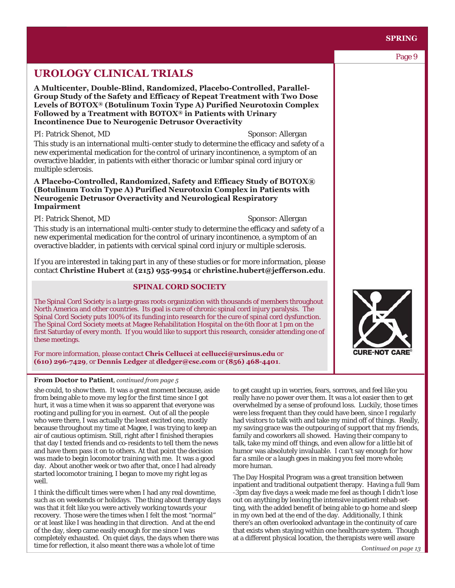### **SPRING**

Page 9

### **UROLOGY CLINICAL TRIALS**

**A Multicenter, Double-Blind, Randomized, Placebo-Controlled, Parallel-Group Study of the Safety and Efficacy of Repeat Treatment with Two Dose Levels of BOTOX® (Botulinum Toxin Type A) Purified Neurotoxin Complex Followed by a Treatment with BOTOX® in Patients with Urinary Incontinence Due to Neurogenic Detrusor Overactivity** 

PI: Patrick Shenot, MD Sponsor: Allergan

This study is an international multi-center study to determine the efficacy and safety of a new experimental medication for the control of urinary incontinence, a symptom of an overactive bladder, in patients with either thoracic or lumbar spinal cord injury or multiple sclerosis.

**A Placebo-Controlled, Randomized, Safety and Efficacy Study of BOTOX® (Botulinum Toxin Type A) Purified Neurotoxin Complex in Patients with Neurogenic Detrusor Overactivity and Neurological Respiratory Impairment**

### PI: Patrick Shenot, MD Sponsor: Allergan

This study is an international multi-center study to determine the efficacy and safety of a new experimental medication for the control of urinary incontinence, a symptom of an overactive bladder, in patients with cervical spinal cord injury or multiple sclerosis.

If you are interested in taking part in any of these studies or for more information, please contact **Christine Hubert** at **(215) 955-9954** or **christine.hubert@jefferson.edu**.

### **SPINAL CORD SOCIETY**

The Spinal Cord Society is a large grass roots organization with thousands of members throughout North America and other countries. Its goal is cure of chronic spinal cord injury paralysis. The Spinal Cord Society puts 100% of its funding into research for the cure of spinal cord dysfunction. The Spinal Cord Society meets at Magee Rehabilitation Hospital on the 6th floor at 1 pm on the first Saturday of every month. If you would like to support this research, consider attending one of these meetings.

For more information, please contact **Chris Cellucci** at **cellucci@ursinus.edu** or **(610) 296-7429**, or **Dennis Ledger** at **dledger@csc.com** or **(856) 468-4401**.

### **From Doctor to Patient***, continued from page 5*

she could, to show them. It was a great moment because, aside from being able to move my leg for the first time since I got hurt, it was a time when it was so apparent that everyone was rooting and pulling for you in earnest. Out of all the people who were there, I was actually the least excited one, mostly because throughout my time at Magee, I was trying to keep an air of cautious optimism. Still, right after I finished therapies that day I texted friends and co-residents to tell them the news and have them pass it on to others. At that point the decision was made to begin locomotor training with me. It was a good day. About another week or two after that, once I had already started locomotor training, I began to move my right leg as well.

I think the difficult times were when I had any real downtime, such as on weekends or holidays. The thing about therapy days was that it felt like you were actively working towards your recovery. Those were the times when I felt the most "normal" or at least like I was heading in that direction. And at the end of the day, sleep came easily enough for me since I was completely exhausted. On quiet days, the days when there was time for reflection, it also meant there was a whole lot of time

to get caught up in worries, fears, sorrows, and feel like you really have no power over them. It was a lot easier then to get overwhelmed by a sense of profound loss. Luckily, those times were less frequent than they could have been, since I regularly had visitors to talk with and take my mind off of things. Really, my saving grace was the outpouring of support that my friends, family and coworkers all showed. Having their company to talk, take my mind off things, and even allow for a little bit of humor was absolutely invaluable. I can't say enough for how far a smile or a laugh goes in making you feel more whole; more human.

The Day Hospital Program was a great transition between inpatient and traditional outpatient therapy. Having a full 9am -3pm day five days a week made me feel as though I didn't lose out on anything by leaving the intensive inpatient rehab setting, with the added benefit of being able to go home and sleep in my own bed at the end of the day. Additionally, I think there's an often overlooked advantage in the continuity of care that exists when staying within one healthcare system. Though at a different physical location, the therapists were well aware

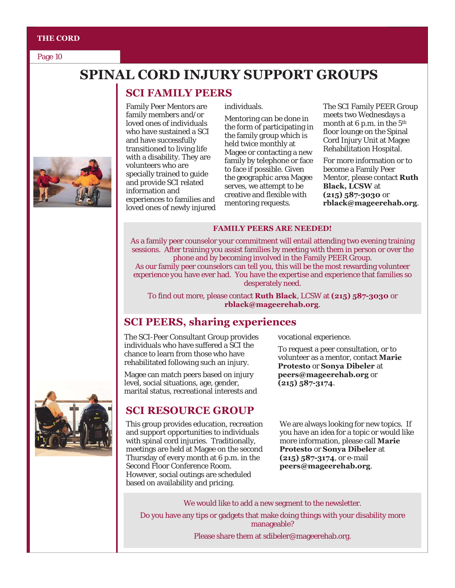### **THE CORD**

Page 10

### **SPINAL CORD INJURY SUPPORT GROUPS**

### **SCI FAMILY PEERS**

Family Peer Mentors are family members and/or loved ones of individuals who have sustained a SCI and have successfully transitioned to living life with a disability. They are volunteers who are specially trained to guide and provide SCI related information and experiences to families and loved ones of newly injured

individuals.

Mentoring can be done in the form of participating in the family group which is held twice monthly at Magee or contacting a new family by telephone or face to face if possible. Given the geographic area Magee serves, we attempt to be creative and flexible with mentoring requests.

The SCI Family PEER Group meets two Wednesdays a month at 6 p.m. in the 5<sup>th</sup> floor lounge on the Spinal Cord Injury Unit at Magee Rehabilitation Hospital.

For more information or to become a Family Peer Mentor, please contact **Ruth Black, LCSW** at **(215) 587-3030** or **rblack@mageerehab.org**.

### **FAMILY PEERS ARE NEEDED!**

As a family peer counselor your commitment will entail attending two evening training sessions. After training you assist families by meeting with them in person or over the phone and by becoming involved in the Family PEER Group.

As our family peer counselors can tell you, this will be the most rewarding volunteer experience you have ever had. You have the expertise and experience that families so desperately need.

To find out more, please contact **Ruth Black**, LCSW at **(215) 587-3030** or **rblack@mageerehab.org**.

### **SCI PEERS, sharing experiences**

The SCI-Peer Consultant Group provides individuals who have suffered a SCI the chance to learn from those who have rehabilitated following such an injury.

Magee can match peers based on injury level, social situations, age, gender, marital status, recreational interests and

### **SCI RESOURCE GROUP**

This group provides education, recreation and support opportunities to individuals with spinal cord injuries. Traditionally, meetings are held at Magee on the second Thursday of every month at 6 p.m. in the Second Floor Conference Room. However, social outings are scheduled based on availability and pricing.

vocational experience.

To request a peer consultation, or to volunteer as a mentor, contact **Marie Protesto** or **Sonya Dibeler** at **peers@mageerehab.org** or **(215) 587-3174**.

We are always looking for new topics. If you have an idea for a topic or would like more information, please call **Marie Protesto** or **Sonya Dibeler** at **(215) 587-3174**, or e-mail **peers@mageerehab.org**.

We would like to add a new segment to the newsletter.

Do you have any tips or gadgets that make doing things with your disability more manageable?

Please share them at sdibeler@mageerehab.org.



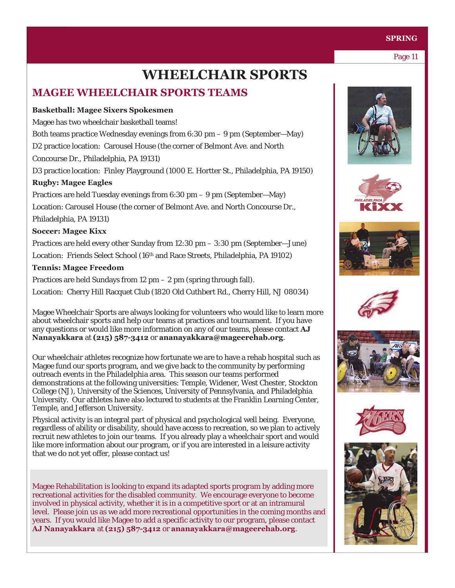## **WHEELCHAIR SPORTS**

### **MAGEE WHEELCHAIR SPORTS TEAMS**

### **Basketball: Magee Sixers Spokesmen**

Magee has two wheelchair basketball teams!

Both teams practice Wednesday evenings from 6:30 pm – 9 pm (September—May)

D2 practice location: Carousel House (the corner of Belmont Ave. and North Concourse Dr., Philadelphia, PA 19131)

D3 practice location: Finley Playground (1000 E. Hortter St., Philadelphia, PA 19150)

### **Rugby: Magee Eagles**

Practices are held Tuesday evenings from 6:30 pm – 9 pm (September—May) Location: Carousel House (the corner of Belmont Ave. and North Concourse Dr., Philadelphia, PA 19131)

### **Soccer: Magee Kixx**

Practices are held every other Sunday from 12:30 pm – 3:30 pm (September—June) Location: Friends Select School (16th and Race Streets, Philadelphia, PA 19102)

### **Tennis: Magee Freedom**

Practices are held Sundays from 12 pm – 2 pm (spring through fall). Location: Cherry Hill Racquet Club (1820 Old Cuthbert Rd., Cherry Hill, NJ 08034)

Magee Wheelchair Sports are always looking for volunteers who would like to learn more about wheelchair sports and help our teams at practices and tournament. If you have any questions or would like more information on any of our teams, please contact **AJ Nanayakkara** at **(215) 587-3412** or **ananayakkara@mageerehab.org**.

Our wheelchair athletes recognize how fortunate we are to have a rehab hospital such as Magee fund our sports program, and we give back to the community by performing outreach events in the Philadelphia area. This season our teams performed demonstrations at the following universities: Temple, Widener, West Chester, Stockton College (NJ), University of the Sciences, University of Pennsylvania, and Philadelphia University. Our athletes have also lectured to students at the Franklin Learning Center, Temple, and Jefferson University.

Physical activity is an integral part of physical and psychological well being. Everyone, regardless of ability or disability, should have access to recreation, so we plan to actively recruit new athletes to join our teams. If you already play a wheelchair sport and would like more information about our program, or if you are interested in a leisure activity that we do not yet offer, please contact us!

Magee Rehabilitation is looking to expand its adapted sports program by adding more recreational activities for the disabled community. We encourage everyone to become involved in physical activity, whether it is in a competitive sport or at an intramural level. Please join us as we add more recreational opportunities in the coming months and years. If you would like Magee to add a specific activity to our program, please contact **AJ Nanayakkara** at **(215) 587-3412** or **ananayakkara@mageerehab.org**.















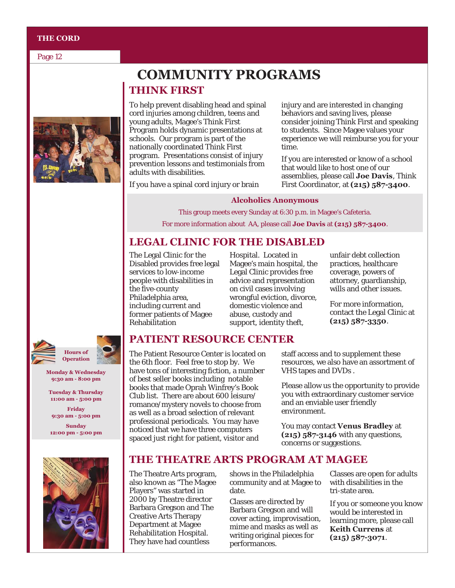### **THE CORD**

Page 12



### **COMMUNITY PROGRAMS THINK FIRST**

To help prevent disabling head and spinal cord injuries among children, teens and young adults, Magee's Think First Program holds dynamic presentations at schools. Our program is part of the nationally coordinated Think First program. Presentations consist of injury prevention lessons and testimonials from adults with disabilities.

If you have a spinal cord injury or brain

injury and are interested in changing behaviors and saving lives, please consider joining Think First and speaking to students. Since Magee values your experience we will reimburse you for your time.

If you are interested or know of a school that would like to host one of our assemblies, please call **Joe Davis**, Think First Coordinator, at **(215) 587-3400**.

### **Alcoholics Anonymous**

This group meets every Sunday at 6:30 p.m. in Magee's Cafeteria.

For more information about AA, please call **Joe Davis** at **(215) 587-3400**.

### **LEGAL CLINIC FOR THE DISABLED**

The Legal Clinic for the Disabled provides free legal services to low-income people with disabilities in the five-county Philadelphia area, including current and former patients of Magee Rehabilitation

Hospital. Located in Magee's main hospital, the Legal Clinic provides free advice and representation on civil cases involving wrongful eviction, divorce, domestic violence and abuse, custody and support, identity theft,

unfair debt collection practices, healthcare coverage, powers of attorney, guardianship, wills and other issues.

For more information, contact the Legal Clinic at **(215) 587-3350**.



**Monday & Wednesday 9:30 am - 8:00 pm** 

**Tuesday & Thursday 11:00 am - 5:00 pm** 

**Friday 9:30 am - 5:00 pm** 

**Sunday 12:00 pm - 5:00 pm** 



### **PATIENT RESOURCE CENTER**

The Patient Resource Center is located on the 6th floor. Feel free to stop by. We have tons of interesting fiction, a number of best seller books including notable books that made Oprah Winfrey's Book Club list. There are about 600 leisure/ romance/mystery novels to choose from as well as a broad selection of relevant professional periodicals. You may have noticed that we have three computers spaced just right for patient, visitor and

staff access and to supplement these resources, we also have an assortment of VHS tapes and DVDs .

Please allow us the opportunity to provide you with extraordinary customer service and an enviable user friendly environment.

You may contact **Venus Bradley** at **(215) 587-3146** with any questions, concerns or suggestions.

### **THE THEATRE ARTS PROGRAM AT MAGEE**

The Theatre Arts program, also known as "The Magee Players" was started in 2000 by Theatre director Barbara Gregson and The Creative Arts Therapy Department at Magee Rehabilitation Hospital. They have had countless

shows in the Philadelphia community and at Magee to date.

Classes are directed by Barbara Gregson and will cover acting, improvisation, mime and masks as well as writing original pieces for performances.

Classes are open for adults with disabilities in the tri-state area.

If you or someone you know would be interested in learning more, please call **Keith Currens** at **(215) 587-3071**.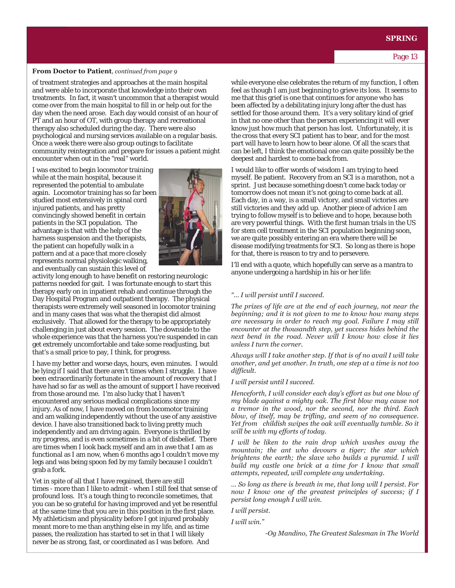### Page 13

### **From Doctor to Patient***, continued from page 9*

of treatment strategies and approaches at the main hospital and were able to incorporate that knowledge into their own treatments. In fact, it wasn't uncommon that a therapist would come over from the main hospital to fill in or help out for the day when the need arose. Each day would consist of an hour of PT and an hour of OT, with group therapy and recreational therapy also scheduled during the day. There were also psychological and nursing services available on a regular basis. Once a week there were also group outings to facilitate community reintegration and prepare for issues a patient might encounter when out in the "real" world.

I was excited to begin locomotor training while at the main hospital, because it represented the potential to ambulate again. Locomotor training has so far been studied most extensively in spinal cord injured patients, and has pretty convincingly showed benefit in certain patients in the SCI population. The advantage is that with the help of the harness suspension and the therapists, the patient can hopefully walk in a pattern and at a pace that more closely represents normal physiologic walking, and eventually can sustain this level of



activity long enough to have benefit on restoring neurologic patterns needed for gait. I was fortunate enough to start this therapy early on in inpatient rehab and continue through the Day Hospital Program and outpatient therapy. The physical therapists were extremely well seasoned in locomotor training and in many cases that was what the therapist did almost exclusively. That allowed for the therapy to be appropriately challenging in just about every session. The downside to the whole experience was that the harness you're suspended in can get extremely uncomfortable and take some readjusting, but that's a small price to pay, I think, for progress.

I have my better and worse days, hours, even minutes. I would be lying if I said that there aren't times when I struggle. I have been extraordinarily fortunate in the amount of recovery that I have had so far as well as the amount of support I have received from those around me. I'm also lucky that I haven't encountered any serious medical complications since my injury. As of now, I have moved on from locomotor training and am walking independently without the use of any assistive device. I have also transitioned back to living pretty much independently and am driving again. Everyone is thrilled by my progress, and is even sometimes in a bit of disbelief. There are times when I look back myself and am in awe that I am as functional as I am now, when 6 months ago I couldn't move my legs and was being spoon fed by my family because I couldn't grab a fork.

Yet in spite of all that I have regained, there are still times - more than I like to admit - when I still feel that sense of profound loss. It's a tough thing to reconcile sometimes, that you can be so grateful for having improved and yet be resentful at the same time that you are in this position in the first place. My athleticism and physicality before I got injured probably meant more to me than anything else in my life, and as time passes, the realization has started to set in that I will likely never be as strong, fast, or coordinated as I was before. And

while everyone else celebrates the return of my function, I often feel as though I am just beginning to grieve its loss. It seems to me that this grief is one that continues for anyone who has been affected by a debilitating injury long after the dust has settled for those around them. It's a very solitary kind of grief in that no one other than the person experiencing it will ever know just how much that person has lost. Unfortunately, it is the cross that every SCI patient has to bear, and for the most part will have to learn how to bear alone. Of all the scars that can be left, I think the emotional one can quite possibly be the deepest and hardest to come back from.

I would like to offer words of wisdom I am trying to heed myself. Be patient. Recovery from an SCI is a marathon, not a sprint. Just because something doesn't come back today or tomorrow does not mean it's not going to come back at all. Each day, in a way, is a small victory, and small victories are still victories and they add up. Another piece of advice I am trying to follow myself is to believe and to hope, because both are very powerful things. With the first human trials in the US for stem cell treatment in the SCI population beginning soon, we are quite possibly entering an era where there will be disease modifying treatments for SCI. So long as there is hope for that, there is reason to try and to persevere.

I'll end with a quote, which hopefully can serve as a mantra to anyone undergoing a hardship in his or her life:

### *"… I will persist until I succeed.*

*The prizes of life are at the end of each journey, not near the beginning; and it is not given to me to know how many steps are necessary in order to reach my goal. Failure I may still encounter at the thousandth step, yet success hides behind the next bend in the road. Never will I know how close it lies unless I turn the corner.* 

*Always will I take another step. If that is of no avail I will take another, and yet another. In truth, one step at a time is not too difficult.* 

### *I will persist until I succeed.*

*Henceforth, I will consider each day's effort as but one blow of my blade against a mighty oak. The first blow may cause not a tremor in the wood, nor the second, nor the third. Each blow, of itself, may be trifling, and seem of no consequence. Yet from childish swipes the oak will eventually tumble. So it will be with my efforts of today.* 

*I will be liken to the rain drop which washes away the mountain; the ant who devours a tiger; the star which brightens the earth; the slave who builds a pyramid. I will build my castle one brick at a time for I know that small attempts, repeated, will complete any undertaking.* 

*… So long as there is breath in me, that long will I persist. For now I know one of the greatest principles of success; if I persist long enough I will win.* 

*I will persist.* 

*I will win."* 

*-Og Mandino, The Greatest Salesman in The World*